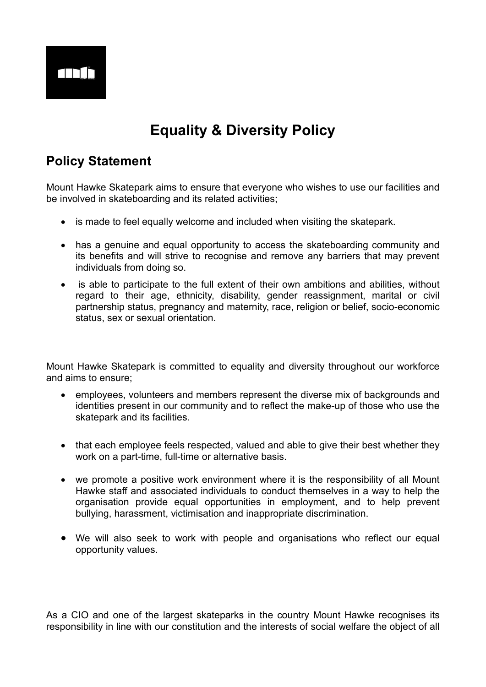

# **Equality & Diversity Policy**

# **Policy Statement**

Mount Hawke Skatepark aims to ensure that everyone who wishes to use our facilities and be involved in skateboarding and its related activities;

- is made to feel equally welcome and included when visiting the skatepark.
- has a genuine and equal opportunity to access the skateboarding community and its benefits and will strive to recognise and remove any barriers that may prevent individuals from doing so.
- is able to participate to the full extent of their own ambitions and abilities, without regard to their age, ethnicity, disability, gender reassignment, marital or civil partnership status, pregnancy and maternity, race, religion or belief, socio-economic status, sex or sexual orientation.

Mount Hawke Skatepark is committed to equality and diversity throughout our workforce and aims to ensure;

- employees, volunteers and members represent the diverse mix of backgrounds and identities present in our community and to reflect the make-up of those who use the skatepark and its facilities.
- that each employee feels respected, valued and able to give their best whether they work on a part-time, full-time or alternative basis.
- we promote a positive work environment where it is the responsibility of all Mount Hawke staff and associated individuals to conduct themselves in a way to help the organisation provide equal opportunities in employment, and to help prevent bullying, harassment, victimisation and inappropriate discrimination.
- We will also seek to work with people and organisations who reflect our equal opportunity values.

As a CIO and one of the largest skateparks in the country Mount Hawke recognises its responsibility in line with our constitution and the interests of social welfare the object of all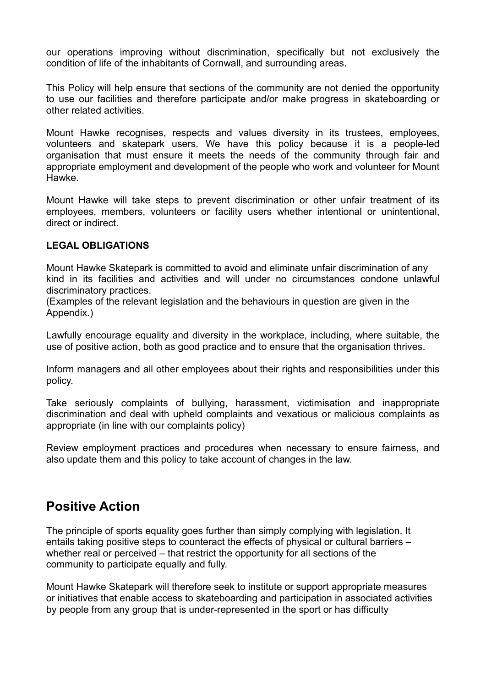our operations improving without discrimination, specifically but not exclusively the condition of life of the inhabitants of Cornwall, and surrounding areas.

This Policy will help ensure that sections of the community are not denied the opportunity to use our facilities and therefore participate and/or make progress in skateboarding or other related activities.

Mount Hawke recognises, respects and values diversity in its trustees, employees, volunteers and skatepark users. We have this policy because it is a people-led organisation that must ensure it meets the needs of the community through fair and appropriate employment and development of the people who work and volunteer for Mount Hawke.

Mount Hawke will take steps to prevent discrimination or other unfair treatment of its employees, members, volunteers or facility users whether intentional or unintentional, direct or indirect.

#### **LEGAL OBLIGATIONS**

Mount Hawke Skatepark is committed to avoid and eliminate unfair discrimination of any kind in its facilities and activities and will under no circumstances condone unlawful discriminatory practices.

(Examples of the relevant legislation and the behaviours in question are given in the Appendix.)

Lawfully encourage equality and diversity in the workplace, including, where suitable, the use of positive action, both as good practice and to ensure that the organisation thrives.

Inform managers and all other employees about their rights and responsibilities under this policy.

Take seriously complaints of bullying, harassment, victimisation and inappropriate discrimination and deal with upheld complaints and vexatious or malicious complaints as appropriate (in line with our complaints policy)

Review employment practices and procedures when necessary to ensure fairness, and also update them and this policy to take account of changes in the law.

### **Positive Action**

The principle of sports equality goes further than simply complying with legislation. It entails taking positive steps to counteract the effects of physical or cultural barriers – whether real or perceived – that restrict the opportunity for all sections of the community to participate equally and fully.

Mount Hawke Skatepark will therefore seek to institute or support appropriate measures or initiatives that enable access to skateboarding and participation in associated activities by people from any group that is under-represented in the sport or has difficulty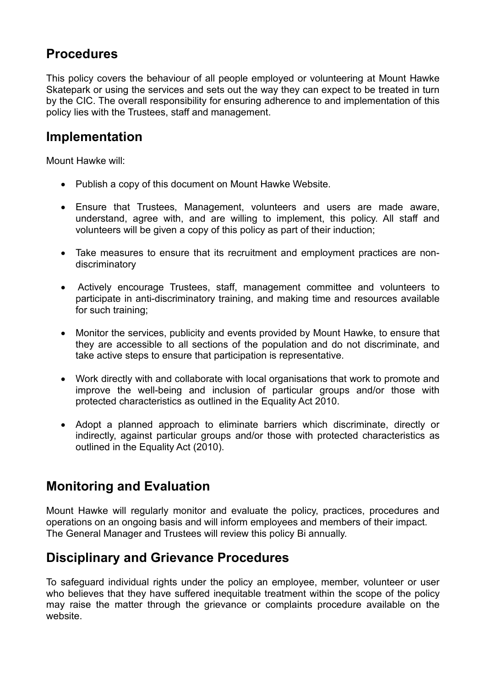# **Procedures**

This policy covers the behaviour of all people employed or volunteering at Mount Hawke Skatepark or using the services and sets out the way they can expect to be treated in turn by the CIC. The overall responsibility for ensuring adherence to and implementation of this policy lies with the Trustees, staff and management.

### **Implementation**

Mount Hawke will:

- Publish a copy of this document on Mount Hawke Website.
- Ensure that Trustees, Management, volunteers and users are made aware, understand, agree with, and are willing to implement, this policy. All staff and volunteers will be given a copy of this policy as part of their induction;
- Take measures to ensure that its recruitment and employment practices are nondiscriminatory
- Actively encourage Trustees, staff, management committee and volunteers to participate in anti-discriminatory training, and making time and resources available for such training;
- Monitor the services, publicity and events provided by Mount Hawke, to ensure that they are accessible to all sections of the population and do not discriminate, and take active steps to ensure that participation is representative.
- Work directly with and collaborate with local organisations that work to promote and improve the well-being and inclusion of particular groups and/or those with protected characteristics as outlined in the Equality Act 2010.
- Adopt a planned approach to eliminate barriers which discriminate, directly or indirectly, against particular groups and/or those with protected characteristics as outlined in the Equality Act (2010).

### **Monitoring and Evaluation**

Mount Hawke will regularly monitor and evaluate the policy, practices, procedures and operations on an ongoing basis and will inform employees and members of their impact. The General Manager and Trustees will review this policy Bi annually.

### **Disciplinary and Grievance Procedures**

To safeguard individual rights under the policy an employee, member, volunteer or user who believes that they have suffered inequitable treatment within the scope of the policy may raise the matter through the grievance or complaints procedure available on the website.